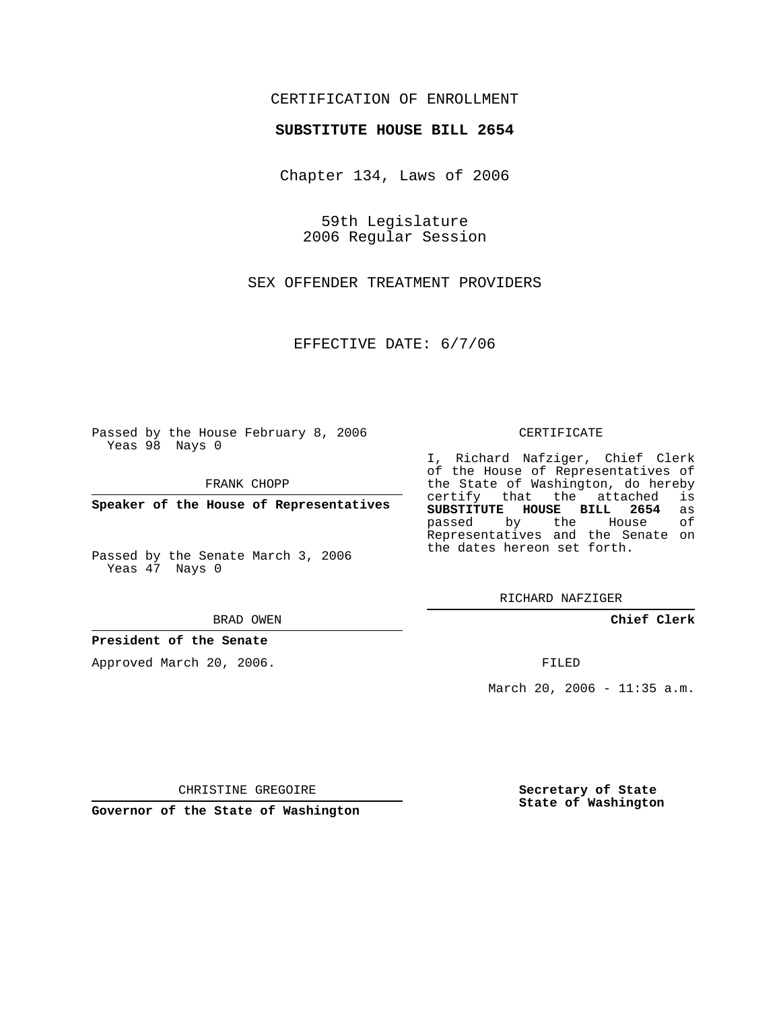## CERTIFICATION OF ENROLLMENT

### **SUBSTITUTE HOUSE BILL 2654**

Chapter 134, Laws of 2006

59th Legislature 2006 Regular Session

SEX OFFENDER TREATMENT PROVIDERS

EFFECTIVE DATE: 6/7/06

Passed by the House February 8, 2006 Yeas 98 Nays 0

FRANK CHOPP

**Speaker of the House of Representatives**

Passed by the Senate March 3, 2006 Yeas 47 Nays 0

BRAD OWEN

## **President of the Senate**

Approved March 20, 2006.

#### CERTIFICATE

I, Richard Nafziger, Chief Clerk of the House of Representatives of the State of Washington, do hereby<br>certify that the attached is certify that the attached **SUBSTITUTE HOUSE BILL 2654** as passed by the House Representatives and the Senate on the dates hereon set forth.

RICHARD NAFZIGER

**Chief Clerk**

FILED

March 20, 2006 - 11:35 a.m.

CHRISTINE GREGOIRE

**Governor of the State of Washington**

**Secretary of State State of Washington**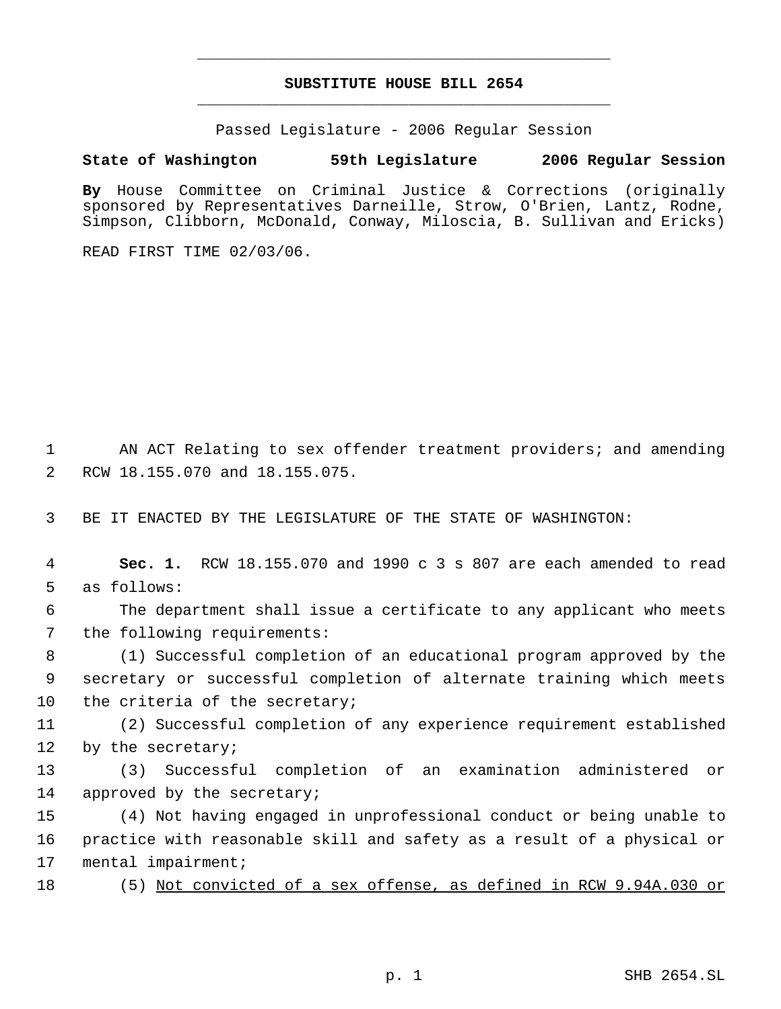# **SUBSTITUTE HOUSE BILL 2654** \_\_\_\_\_\_\_\_\_\_\_\_\_\_\_\_\_\_\_\_\_\_\_\_\_\_\_\_\_\_\_\_\_\_\_\_\_\_\_\_\_\_\_\_\_

\_\_\_\_\_\_\_\_\_\_\_\_\_\_\_\_\_\_\_\_\_\_\_\_\_\_\_\_\_\_\_\_\_\_\_\_\_\_\_\_\_\_\_\_\_

Passed Legislature - 2006 Regular Session

# **State of Washington 59th Legislature 2006 Regular Session**

**By** House Committee on Criminal Justice & Corrections (originally sponsored by Representatives Darneille, Strow, O'Brien, Lantz, Rodne, Simpson, Clibborn, McDonald, Conway, Miloscia, B. Sullivan and Ericks)

READ FIRST TIME 02/03/06.

 1 AN ACT Relating to sex offender treatment providers; and amending 2 RCW 18.155.070 and 18.155.075.

3 BE IT ENACTED BY THE LEGISLATURE OF THE STATE OF WASHINGTON:

 4 **Sec. 1.** RCW 18.155.070 and 1990 c 3 s 807 are each amended to read 5 as follows:

 6 The department shall issue a certificate to any applicant who meets 7 the following requirements:

 8 (1) Successful completion of an educational program approved by the 9 secretary or successful completion of alternate training which meets 10 the criteria of the secretary;

11 (2) Successful completion of any experience requirement established 12 by the secretary;

13 (3) Successful completion of an examination administered or 14 approved by the secretary;

15 (4) Not having engaged in unprofessional conduct or being unable to 16 practice with reasonable skill and safety as a result of a physical or 17 mental impairment;

18 (5) Not convicted of a sex offense, as defined in RCW 9.94A.030 or